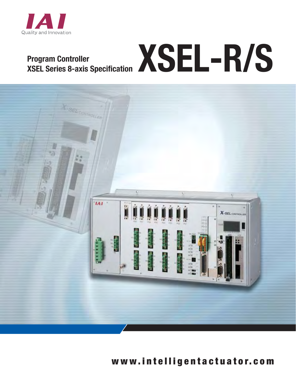

# **Program Controller**  Program Controller<br>XSEL Series 8-axis Specification XSEL-R/S



## www.in telligen tac tua to r.com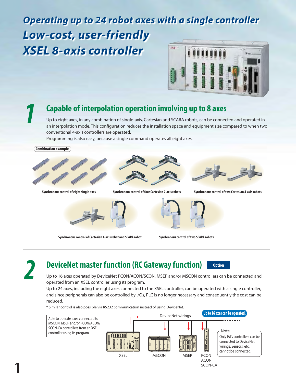## *Operating up to 24 robot axes with a single controller Low-cost, user-friendly XSEL 8-axis controller*  $\overline{u}$



## **Capable of interpolation operation involving up to 8 axes** *1*

Up to eight axes, in any combination of single-axis, Cartesian and SCARA robots, can be connected and operated in an interpolation mode. This configuration reduces the installation space and equipment size compared to when two conventional 4-axis controllers are operated.

Programming is also easy, because a single command operates all eight axes.







**Synchronous control of four Cartesian 2-axis robots Synchronous control of eight single axes Synchronous control of two Cartesian 4-axis robots**



**Synchronous control of Cartesian 4-axis robot and SCARA robot** 



**Synchronous control of two SCARA robots** 

1

## **DeviceNet master function (RC Gateway function)** *2* **Option**



Up to 16 axes operated by DeviceNet PCON/ACON/SCON, MSEP and/or MSCON controllers can be connected and operated from an XSEL controller using its program.

Up to 24 axes, including the eight axes connected to the XSEL controller, can be operated with a single controller, and since peripherals can also be controlled by I/Os, PLC is no longer necessary and consequently the cost can be reduced.

\* Similar control is also possible via RS232 communication instead of using DeviceNet.

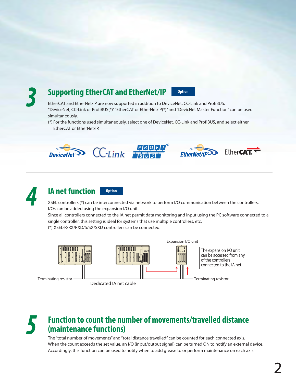

## **Supporting EtherCAT and EtherNet/IP 3** Option

EtherCAT and EtherNet/IP are now supported in addition to DeviceNet, CC-Link and ProfiBUS. "DeviceNet, CC-Link or ProfiBUS(\*)" "EtherCAT or EtherNet/IP(\*)" and "DevicNet Master Function" can be used simultaneously.

(\*) For the functions used simultaneously, select one of DeviceNet, CC-Link and ProfiBUS, and select either EtherCAT or EtherNet/IP.







## **IA net function** *A* **Option**

XSEL controllers (\*) can be interconnected via network to perform I/O communication between the controllers. I/Os can be added using the expansion I/O unit.

Since all controllers connected to the IA net permit data monitoring and input using the PC software connected to a single controller, this setting is ideal for systems that use multiple controllers, etc.

(\*) XSEL-R/RX/RXD/S/SX/SXD controllers can be connected.



Terminating resistor

Dedicated IA net cable

# Function to count the number of movements/travelled distance (maintenance functions)

The "total number of movements" and "total distance travelled" can be counted for each connected axis. When the count exceeds the set value, an I/O (input/output signal) can be turned ON to notify an external device. Accordingly, this function can be used to notify when to add grease to or perform maintenance on each axis.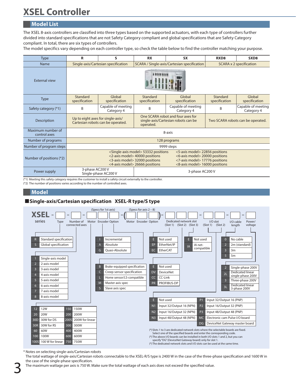# **XSEL Controller**

### **Model List**

The XSEL 8-axis controllers are classified into three types based on the supported actuators, with each type of controllers further divided into standard specifications that are not Safety Category compliant and global specifications that are Safety Category compliant. In total, there are six types of controllers.

The model specifics vary depending on each controller type, so check the table below to find the controller matching your purpose.

| <b>Type</b>                       | R                                                                                                                                                                                                                                                                                                                                                  | S                                | <b>RX</b>                                                                             | <b>SX</b>                        | RXD <sub>8</sub>                  | SXD <sub>8</sub>                 |
|-----------------------------------|----------------------------------------------------------------------------------------------------------------------------------------------------------------------------------------------------------------------------------------------------------------------------------------------------------------------------------------------------|----------------------------------|---------------------------------------------------------------------------------------|----------------------------------|-----------------------------------|----------------------------------|
| Name                              | Single-axis/Cartesian specification                                                                                                                                                                                                                                                                                                                |                                  | SCARA / Single-axis/Cartesian specification                                           |                                  | <b>SCARA x 2 specification</b>    |                                  |
| <b>External view</b>              |                                                                                                                                                                                                                                                                                                                                                    |                                  |                                                                                       |                                  |                                   |                                  |
| <b>Type</b>                       | Standard<br>specification                                                                                                                                                                                                                                                                                                                          | Global<br>specification          | Standard<br>specification                                                             | Global<br>specification          | Standard<br>specification         | Global<br>specification          |
| Safety category (*1)              | B                                                                                                                                                                                                                                                                                                                                                  | Capable of meeting<br>Category 4 | B                                                                                     | Capable of meeting<br>Category 4 | B                                 | Capable of meeting<br>Category 4 |
| Description                       | Up to eight axes for single-axis/<br>Cartesian robots can be operated.                                                                                                                                                                                                                                                                             |                                  | One SCARA robot and four axes for<br>single-axis/Cartesian robots can be<br>operated. |                                  | Two SCARA robots can be operated. |                                  |
| Maximum number of<br>control axes | 8-axis                                                                                                                                                                                                                                                                                                                                             |                                  |                                                                                       |                                  |                                   |                                  |
| Number of programs                | 128 programs                                                                                                                                                                                                                                                                                                                                       |                                  |                                                                                       |                                  |                                   |                                  |
| Number of program steps           | 9999 steps                                                                                                                                                                                                                                                                                                                                         |                                  |                                                                                       |                                  |                                   |                                  |
| Number of positions (*2)          | <single-axis model=""> 53332 positions<br/>&lt;5-axis model&gt; 22856 positions<br/>&lt;2-axis model&gt; 40000 positions<br/>&lt;6-axis model&gt; 20000 positions<br/>&lt;3-axis model&gt; 32000 positions<br/>&lt;7-axis model&gt; 17776 positions<br/>&lt;4-axis model&gt; 26666 positions<br/>&lt;8-axis model&gt;16000 positions</single-axis> |                                  |                                                                                       |                                  |                                   |                                  |
| Power supply                      | 3-phase AC200 V<br>3-phase AC200 V<br>Single-phase AC200 V                                                                                                                                                                                                                                                                                         |                                  |                                                                                       |                                  |                                   |                                  |

(\*1) Meeting this safety category requires the customer to install a safety circuit externally to the controller.

(\*2) The number of positions varies according to the number of controlled axes.

#### **Model**

### **Single-axis/Cartesian specification XSEL-R type/S type**



\* Notes on selecting single-axis/Cartesian robots

The total wattage of single-axis/Cartesian robots connectable to the XSEL-R/S type is 2400 W in the case of the three-phase specification and 1600 W in the case of the single-phase specification.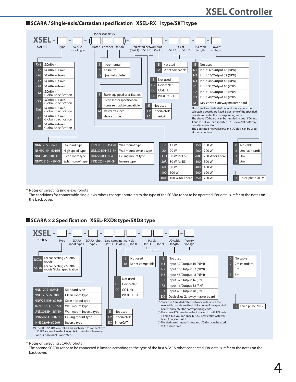## **XSEL Controller**

#### ■ SCARA / Single-axis/Cartesian specification XSEL-RX<sup> $□$ </sup> type/SX $□$  type



#### \* Notes on selecting single-axis robots

The conditions for connectable single-axis robots change according to the type of the SCARA robot to be operated. For details, refer to the notes on the back cover.

#### **SCARA x 2 Specification XSEL-RXD8 type/SXD8 type**



#### \* Notes on selecting SCARA robots

The second SCARA robot to be connected is limited according to the type of the first SCARA robot connected. For details, refer to the notes on the back cover.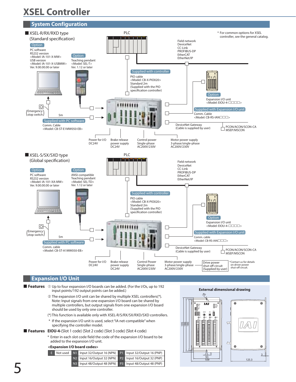## **XSEL Controller**



#### **Expansion I/O Unit**

- **E** Features  $\odot$  Up to four expansion I/O boards can be added. (For the I/Os, up to 192 input points/192 output points can be added.)
	- ➁ The expansion I/O unit can be shared by multiple XSEL controllers(\*). Note: Input signals from one expansion I/O board can be shared by multiple controllers, but output signals from one expansion I/O board should be used by only one controller.
	- (\*) This function is available only with XSEL-R/S/RX/SX/RXD/SXD controllers.
	- \* If the expansion I/O unit is used, select "IA net-compatible" when specifying the controller model.
- **EIOU-4-**(Slot 1 code) (Slot 2 code) (Slot 3 code) (Slot 4 code)  **Features**
	- \* Enter in each slot code field the code of the expansion I/O board to be added to the expansion I/O unit.

#### **<Expansion I/O board codes>**



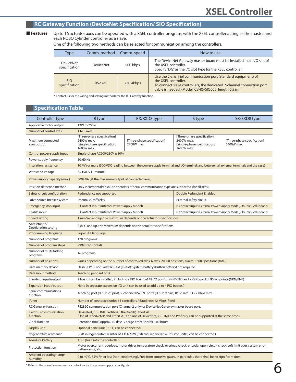## **RC Gateway Function (DeviceNet Specification/ SIO Specification)**

 **Features**

Up to 16 actuator axes can be operated with a XSEL controller program, with the XSEL controller acting as the master and each ROBO Cylinder controller as a slave.

One of the following two methods can be selected for communication among the controllers.

| <b>Type</b>                       | Comm. method   Comm. speed |                                                                                                                                                                          | How to use                                                                                                                                                                                                            |
|-----------------------------------|----------------------------|--------------------------------------------------------------------------------------------------------------------------------------------------------------------------|-----------------------------------------------------------------------------------------------------------------------------------------------------------------------------------------------------------------------|
| <b>DeviceNet</b><br>specification | <b>DeviceNet</b>           | The DeviceNet Gateway master board must be installed in an I/O slot of<br>the XSEL controller.<br>500 kbps<br>Specify "DG" as the I/O slot type for the XSEL controller. |                                                                                                                                                                                                                       |
| <b>SIO</b><br>specification       | <b>RS232C</b>              | 230.4kbps                                                                                                                                                                | Use the 2-channel communication port (standard equipment) of<br>the XSEL controller.<br>To connect slave controllers, the dedicated 2-channel connection port<br>cable is needed. (Model: CB-RS-SIO005, length 0.5 m) |

\* Contact us for the wiring and setting methods for the RC Gateway function.

#### **Specification Table**

| Controller type                           | R type                                                                                                                                                                   | RX/RXD8 type                                                                                                | S type                                                                                  | SX/SXD8 type                              |  |
|-------------------------------------------|--------------------------------------------------------------------------------------------------------------------------------------------------------------------------|-------------------------------------------------------------------------------------------------------------|-----------------------------------------------------------------------------------------|-------------------------------------------|--|
| Applicable motor output                   | 12W to 750W                                                                                                                                                              |                                                                                                             |                                                                                         |                                           |  |
| Number of control axes                    | 1 to 8 axes                                                                                                                                                              |                                                                                                             |                                                                                         |                                           |  |
| Maximum connected<br>axes output          | [Three-phase specification]<br>2400W max.<br>[Single-phase specification]<br>1600W max.                                                                                  | [Three-phase specification]<br>2400W max.                                                                   | [Three-phase specification]<br>2400W max.<br>[Single-phase specification]<br>1600W max. | [Three-phase specification]<br>2400W max. |  |
| Control power-supply input                | Single-phase AC200/230V $\pm$ 10%                                                                                                                                        |                                                                                                             |                                                                                         |                                           |  |
| Power supply frequency                    | 50/60 Hz                                                                                                                                                                 |                                                                                                             |                                                                                         |                                           |  |
| Insulation resistance                     | 10 MΩ or more (500-VDC reading between the power-supply terminal and I/O terminal, and between all external terminals and the case)                                      |                                                                                                             |                                                                                         |                                           |  |
| Withstand voltage                         | AC1500V (1 minute)                                                                                                                                                       |                                                                                                             |                                                                                         |                                           |  |
| Power-supply capacity (max.)              | 5094 VA (at the maximum output of connected axes)                                                                                                                        |                                                                                                             |                                                                                         |                                           |  |
| Position detection method                 |                                                                                                                                                                          | Only incremental/absolute encoders of serial communication type are supported (for all axes).               |                                                                                         |                                           |  |
| Safety circuit configuration              | Redundancy not supported                                                                                                                                                 |                                                                                                             | Double Redundant Enabled                                                                |                                           |  |
| Drive source breaker system               | Internal cutoff relay                                                                                                                                                    |                                                                                                             | External safety circuit                                                                 |                                           |  |
| <b>Emergency stop input</b>               | <b>B Contact Input (Internal Power Supply Model)</b>                                                                                                                     |                                                                                                             | B Contact Input (External Power Supply Model, Double Redundant)                         |                                           |  |
| Enable input                              | B Contact Input (Internal Power Supply Model)                                                                                                                            |                                                                                                             | B Contact Input (External Power Supply Model, Double Redundant)                         |                                           |  |
| Speed setting                             | 1 mm/sec and up, the maximum depends on the actuator specifications                                                                                                      |                                                                                                             |                                                                                         |                                           |  |
| Acceleration/<br>Deceleration setting     | 0.01 G and up, the maximum depends on the actuator specifications                                                                                                        |                                                                                                             |                                                                                         |                                           |  |
| Programming language                      | Super SEL language                                                                                                                                                       |                                                                                                             |                                                                                         |                                           |  |
| Number of programs                        | 128 programs                                                                                                                                                             |                                                                                                             |                                                                                         |                                           |  |
| Number of program steps                   | 9999 steps (total)                                                                                                                                                       |                                                                                                             |                                                                                         |                                           |  |
| Number of multi-tasking<br>programs       | 16 programs                                                                                                                                                              |                                                                                                             |                                                                                         |                                           |  |
| Number of positions                       |                                                                                                                                                                          | Varies depending on the number of controlled axes. 6 axes: 20000 positions, 8 axes: 16000 positions (total) |                                                                                         |                                           |  |
| Data memory device                        | Flash ROM + non-volatile RAM (FRAM): System battery (button battery) not required                                                                                        |                                                                                                             |                                                                                         |                                           |  |
| Data input method                         | Teaching pendant or PC                                                                                                                                                   |                                                                                                             |                                                                                         |                                           |  |
| Standard input/output                     | 2 boards can be installed, including a PIO board of 48 I/O points (NPN/PNP) and a PIO board of 96 I/O points (NPN/PNP)                                                   |                                                                                                             |                                                                                         |                                           |  |
| <b>Expansion input/output</b>             | None (A separate expansion I/O unit can be used to add up to 4 PIO boards.)                                                                                              |                                                                                                             |                                                                                         |                                           |  |
| Serial communications<br>function         | Teaching port (D-sub 25 pins), 2-channel RS232C ports (D-sub 9 pins) Baud rate: 115.2 kbps max.                                                                          |                                                                                                             |                                                                                         |                                           |  |
| IA net                                    | Number of connected units: 64 controllers / Baud rate: 12 Mbps, fixed                                                                                                    |                                                                                                             |                                                                                         |                                           |  |
| <b>RC Gateway function</b>                | RS232C communication port (Channel 2 only) or DeviceNet Gateway master board port.                                                                                       |                                                                                                             |                                                                                         |                                           |  |
| <b>Fieldbus communication</b><br>function | DeviceNet, CC-LINK, Profibus, EtherNet/IP, EtherCAT<br>(One of EtherNet/IP and EtherCAT, and one of DeviceNet, CC-LINK and Profibus, can be supported at the same time.) |                                                                                                             |                                                                                         |                                           |  |
| Clock function                            | Retention time: Approx. 10 days Charge time: Approx. 100 hours                                                                                                           |                                                                                                             |                                                                                         |                                           |  |
| Display unit                              | Optional panel unit (PU-1) can be connected.                                                                                                                             |                                                                                                             |                                                                                         |                                           |  |
| Regenerative resistance                   | Built-in regenerative resistor of 1 k $\Omega$ /20 W (External regenerative resistor unit(s) can be connected.)                                                          |                                                                                                             |                                                                                         |                                           |  |
| Absolute battery                          | AB-5 (built into the controller)                                                                                                                                         |                                                                                                             |                                                                                         |                                           |  |
| Protection function                       | Motor overcurrent, overload, motor driver temperature check, overload check, encoder open-circuit check, soft limit over, system error,<br>battery error, etc.           |                                                                                                             |                                                                                         |                                           |  |
| Ambient operating temp/<br>humidity       | 0 to 40°C, 85% RH or less (non-condensing). Free from corrosive gases. In particular, there shall be no significant dust.                                                |                                                                                                             |                                                                                         |                                           |  |

\* Refer to the operation manual or contact us for the power-supply capacity, etc.